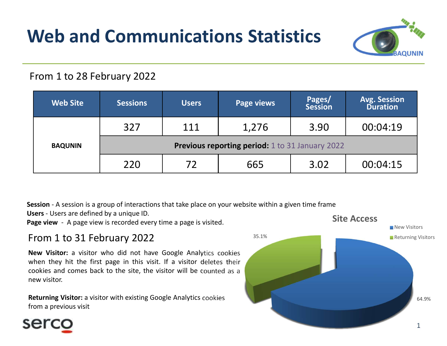# Web and Communications Statistics



|                 | From 1 to 28 February 2022                             |              |                   |                          |                                        |
|-----------------|--------------------------------------------------------|--------------|-------------------|--------------------------|----------------------------------------|
| <b>Web Site</b> | <b>Sessions</b>                                        | <b>Users</b> | <b>Page views</b> | Pages/<br><b>Session</b> | <b>Avg. Session</b><br><b>Duration</b> |
|                 | 327                                                    | 111          | 1,276             | 3.90                     | 00:04:19                               |
| <b>BAQUNIN</b>  | <b>Previous reporting period:</b> 1 to 31 January 2022 |              |                   |                          |                                        |
|                 | 220                                                    | 72           | 665               | 3.02                     | 00:04:15                               |

### From 1 to 31 February 2022

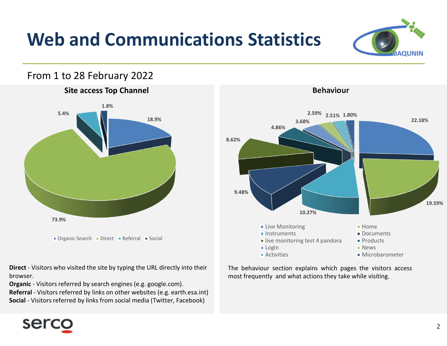## Web and Communications Statistics



browser.

## **EXECUTE:**<br>
THE BEHAVIOR CONTRACT DESCRIPTION AND RELEVEL MONDITORY AND RELEVEL DESCRIPTION AND RELEVEL DESCRIPTION INCLUSION CONTRACT PROducts<br>
The behaviour section explains which pages the visitors access<br>
The behaviour Most Frequently and what actions they take while visiting.<br>
The behaviour section explains which pages the visitions actions they discuss they allocally and what actions they take while visiting. Behaviour 18.9% 22.18% 19.59% 10.27% 9.48% 8.62% **Andrew Products Andrew Products Andrew Products Andrew Products Andrew Products Andrew Products Andrew Products Andrew Products Andrew Products Andrew Products Andrew Products Andrew Products** 4.86%  $3.68\%$  22.18%  $\frac{2.59\%}{2.51\%}$  1.80% **Live Monitoring Communist Communist Communist Communist Communist Communist Communist Communist Communist Communist Communist Communist Communist Communist Communist Communist Communist Communist Communist Communist Commu Instruments** Documents live monitoring test 4 pandora  $\blacksquare$  Products Login **News Community Community News** Activities Microbarometer